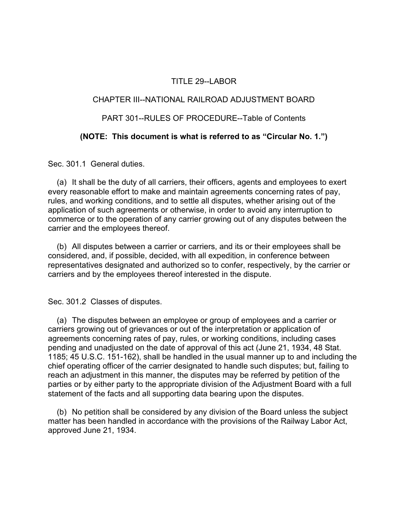# TITLE 29--LABOR

### CHAPTER III--NATIONAL RAILROAD ADJUSTMENT BOARD

### PART 301--RULES OF PROCEDURE--Table of Contents

## **(NOTE: This document is what is referred to as "Circular No. 1.")**

Sec. 301.1 General duties.

 (a) It shall be the duty of all carriers, their officers, agents and employees to exert every reasonable effort to make and maintain agreements concerning rates of pay, rules, and working conditions, and to settle all disputes, whether arising out of the application of such agreements or otherwise, in order to avoid any interruption to commerce or to the operation of any carrier growing out of any disputes between the carrier and the employees thereof.

 (b) All disputes between a carrier or carriers, and its or their employees shall be considered, and, if possible, decided, with all expedition, in conference between representatives designated and authorized so to confer, respectively, by the carrier or carriers and by the employees thereof interested in the dispute.

Sec. 301.2 Classes of disputes.

 (a) The disputes between an employee or group of employees and a carrier or carriers growing out of grievances or out of the interpretation or application of agreements concerning rates of pay, rules, or working conditions, including cases pending and unadjusted on the date of approval of this act (June 21, 1934, 48 Stat. 1185; 45 U.S.C. 151-162), shall be handled in the usual manner up to and including the chief operating officer of the carrier designated to handle such disputes; but, failing to reach an adjustment in this manner, the disputes may be referred by petition of the parties or by either party to the appropriate division of the Adjustment Board with a full statement of the facts and all supporting data bearing upon the disputes.

 (b) No petition shall be considered by any division of the Board unless the subject matter has been handled in accordance with the provisions of the Railway Labor Act, approved June 21, 1934.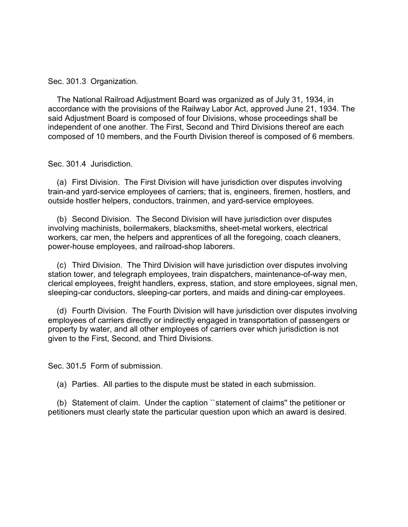Sec. 301.3 Organization.

 The National Railroad Adjustment Board was organized as of July 31, 1934, in accordance with the provisions of the Railway Labor Act, approved June 21, 1934. The said Adjustment Board is composed of four Divisions, whose proceedings shall be independent of one another. The First, Second and Third Divisions thereof are each composed of 10 members, and the Fourth Division thereof is composed of 6 members.

#### Sec. 301.4Jurisdiction.

 (a) First Division. The First Division will have jurisdiction over disputes involving train-and yard-service employees of carriers; that is, engineers, firemen, hostlers, and outside hostler helpers, conductors, trainmen, and yard-service employees.

 (b) Second Division. The Second Division will have jurisdiction over disputes involving machinists, boilermakers, blacksmiths, sheet-metal workers, electrical workers, car men, the helpers and apprentices of all the foregoing, coach cleaners, power-house employees, and railroad-shop laborers.

 (c) Third Division. The Third Division will have jurisdiction over disputes involving station tower, and telegraph employees, train dispatchers, maintenance-of-way men, clerical employees, freight handlers, express, station, and store employees, signal men, sleeping-car conductors, sleeping-car porters, and maids and dining-car employees.

 (d) Fourth Division. The Fourth Division will have jurisdiction over disputes involving employees of carriers directly or indirectly engaged in transportation of passengers or property by water, and all other employees of carriers over which jurisdiction is not given to the First, Second, and Third Divisions.

Sec. 301**.**5 Form of submission.

(a) Parties. All parties to the dispute must be stated in each submission.

 (b) Statement of claim. Under the caption ``statement of claims'' the petitioner or petitioners must clearly state the particular question upon which an award is desired.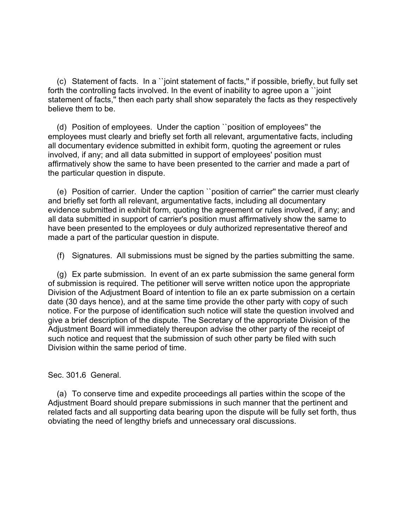(c) Statement of facts. In a ``joint statement of facts,'' if possible, briefly, but fully set forth the controlling facts involved. In the event of inability to agree upon a ``joint statement of facts,'' then each party shall show separately the facts as they respectively believe them to be.

 (d) Position of employees. Under the caption ``position of employees'' the employees must clearly and briefly set forth all relevant, argumentative facts, including all documentary evidence submitted in exhibit form, quoting the agreement or rules involved, if any; and all data submitted in support of employees' position must affirmatively show the same to have been presented to the carrier and made a part of the particular question in dispute.

 (e) Position of carrier. Under the caption ``position of carrier'' the carrier must clearly and briefly set forth all relevant, argumentative facts, including all documentary evidence submitted in exhibit form, quoting the agreement or rules involved, if any; and all data submitted in support of carrier's position must affirmatively show the same to have been presented to the employees or duly authorized representative thereof and made a part of the particular question in dispute.

(f) Signatures. All submissions must be signed by the parties submitting the same.

 (g) Ex parte submission. In event of an ex parte submission the same general form of submission is required. The petitioner will serve written notice upon the appropriate Division of the Adjustment Board of intention to file an ex parte submission on a certain date (30 days hence), and at the same time provide the other party with copy of such notice. For the purpose of identification such notice will state the question involved and give a brief description of the dispute. The Secretary of the appropriate Division of the Adjustment Board will immediately thereupon advise the other party of the receipt of such notice and request that the submission of such other party be filed with such Division within the same period of time.

Sec. 301**.**6 General.

 (a) To conserve time and expedite proceedings all parties within the scope of the Adjustment Board should prepare submissions in such manner that the pertinent and related facts and all supporting data bearing upon the dispute will be fully set forth, thus obviating the need of lengthy briefs and unnecessary oral discussions.